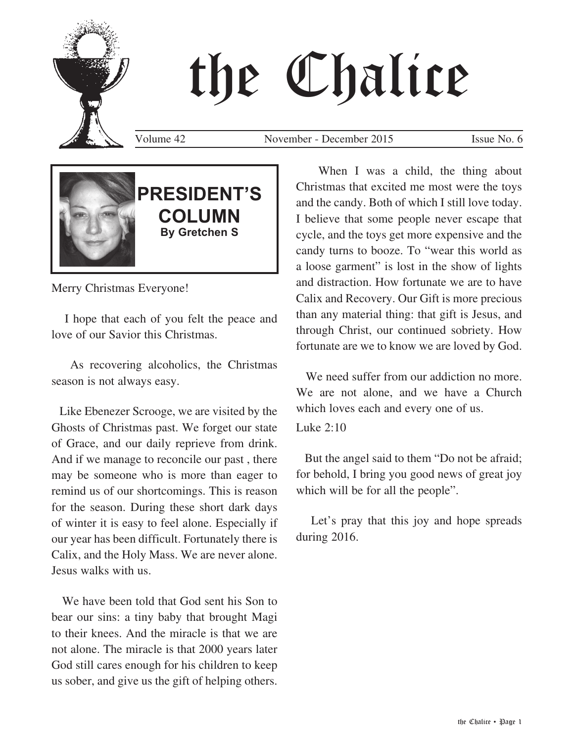

# the Chalice

Volume 42 November - December 2015 Issue No. 6



# **PRESIDENT'S COLUMN By Gretchen S**

Merry Christmas Everyone!

 I hope that each of you felt the peace and love of our Savior this Christmas.

 As recovering alcoholics, the Christmas season is not always easy.

 Like Ebenezer Scrooge, we are visited by the Ghosts of Christmas past. We forget our state of Grace, and our daily reprieve from drink. And if we manage to reconcile our past , there may be someone who is more than eager to remind us of our shortcomings. This is reason for the season. During these short dark days of winter it is easy to feel alone. Especially if our year has been difficult. Fortunately there is Calix, and the Holy Mass. We are never alone. Jesus walks with us.

 We have been told that God sent his Son to bear our sins: a tiny baby that brought Magi to their knees. And the miracle is that we are not alone. The miracle is that 2000 years later God still cares enough for his children to keep us sober, and give us the gift of helping others.

When I was a child, the thing about Christmas that excited me most were the toys and the candy. Both of which I still love today. I believe that some people never escape that cycle, and the toys get more expensive and the candy turns to booze. To "wear this world as a loose garment" is lost in the show of lights and distraction. How fortunate we are to have Calix and Recovery. Our Gift is more precious than any material thing: that gift is Jesus, and through Christ, our continued sobriety. How fortunate are we to know we are loved by God.

We need suffer from our addiction no more. We are not alone, and we have a Church which loves each and every one of us.

Luke 2:10

 But the angel said to them "Do not be afraid; for behold, I bring you good news of great joy which will be for all the people".

 Let's pray that this joy and hope spreads during 2016.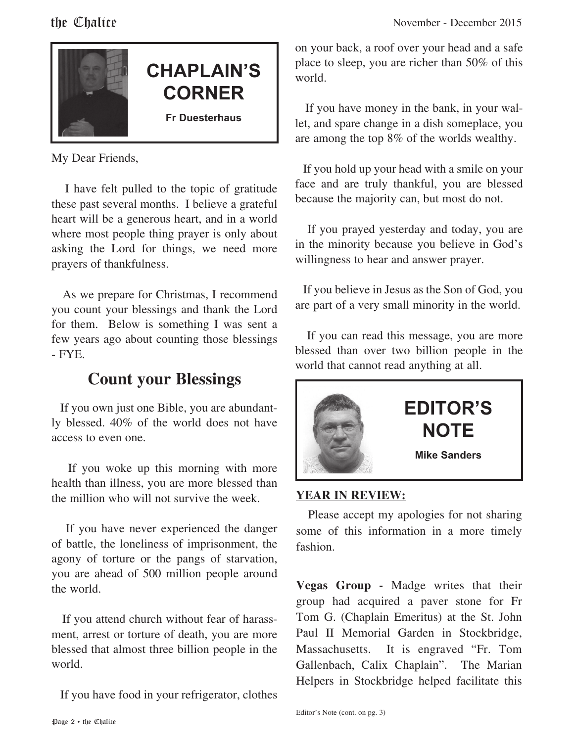

# **CHAPLAIN'S CORNER**

**Fr Duesterhaus**

My Dear Friends,

 I have felt pulled to the topic of gratitude these past several months. I believe a grateful heart will be a generous heart, and in a world where most people thing prayer is only about asking the Lord for things, we need more prayers of thankfulness.

 As we prepare for Christmas, I recommend you count your blessings and thank the Lord for them. Below is something I was sent a few years ago about counting those blessings - FYE.

## **Count your Blessings**

 If you own just one Bible, you are abundantly blessed. 40% of the world does not have access to even one.

 If you woke up this morning with more health than illness, you are more blessed than the million who will not survive the week.

 If you have never experienced the danger of battle, the loneliness of imprisonment, the agony of torture or the pangs of starvation, you are ahead of 500 million people around the world.

 If you attend church without fear of harassment, arrest or torture of death, you are more blessed that almost three billion people in the world.

If you have food in your refrigerator, clothes

on your back, a roof over your head and a safe place to sleep, you are richer than 50% of this world.

 If you have money in the bank, in your wallet, and spare change in a dish someplace, you are among the top 8% of the worlds wealthy.

 If you hold up your head with a smile on your face and are truly thankful, you are blessed because the majority can, but most do not.

 If you prayed yesterday and today, you are in the minority because you believe in God's willingness to hear and answer prayer.

 If you believe in Jesus as the Son of God, you are part of a very small minority in the world.

 If you can read this message, you are more blessed than over two billion people in the world that cannot read anything at all.



#### **YEAR IN REVIEW:**

 Please accept my apologies for not sharing some of this information in a more timely fashion.

**Vegas Group -** Madge writes that their group had acquired a paver stone for Fr Tom G. (Chaplain Emeritus) at the St. John Paul II Memorial Garden in Stockbridge, Massachusetts. It is engraved "Fr. Tom Gallenbach, Calix Chaplain". The Marian Helpers in Stockbridge helped facilitate this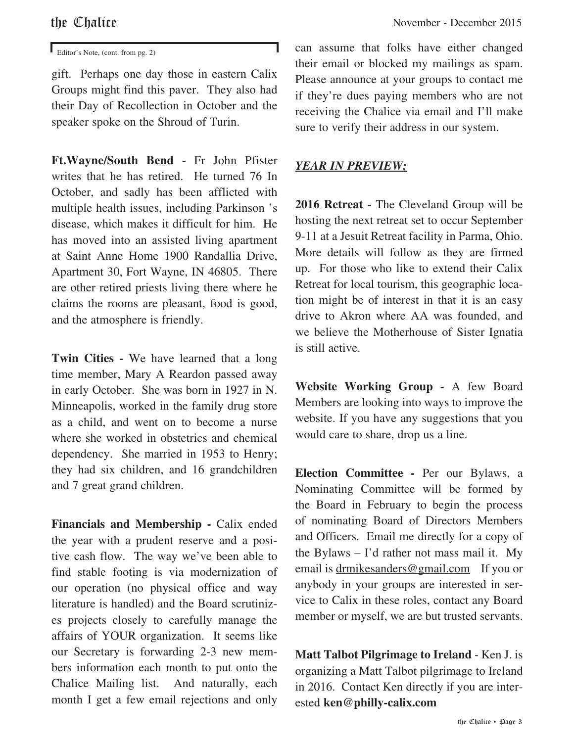gift. Perhaps one day those in eastern Calix Groups might find this paver. They also had their Day of Recollection in October and the speaker spoke on the Shroud of Turin.

**Ft.Wayne/South Bend -** Fr John Pfister writes that he has retired. He turned 76 In October, and sadly has been afflicted with multiple health issues, including Parkinson 's disease, which makes it difficult for him. He has moved into an assisted living apartment at Saint Anne Home 1900 Randallia Drive, Apartment 30, Fort Wayne, IN 46805. There are other retired priests living there where he claims the rooms are pleasant, food is good, and the atmosphere is friendly.

**Twin Cities -** We have learned that a long time member, Mary A Reardon passed away in early October. She was born in 1927 in N. Minneapolis, worked in the family drug store as a child, and went on to become a nurse where she worked in obstetrics and chemical dependency. She married in 1953 to Henry; they had six children, and 16 grandchildren and 7 great grand children.

Financials and Membership - Calix ended the year with a prudent reserve and a positive cash flow. The way we've been able to find stable footing is via modernization of our operation (no physical office and way literature is handled) and the Board scrutinizes projects closely to carefully manage the affairs of YOUR organization. It seems like our Secretary is forwarding 2-3 new members information each month to put onto the Chalice Mailing list. And naturally, each month I get a few email rejections and only

**Editor's Note, (cont. from pg. 2)** can assume that folks have either changed their email or blocked my mailings as spam. Please announce at your groups to contact me if they're dues paying members who are not receiving the Chalice via email and I'll make sure to verify their address in our system.

#### *YEAR IN PREVIEW;*

**2016 Retreat -** The Cleveland Group will be hosting the next retreat set to occur September 9-11 at a Jesuit Retreat facility in Parma, Ohio. More details will follow as they are firmed up. For those who like to extend their Calix Retreat for local tourism, this geographic location might be of interest in that it is an easy drive to Akron where AA was founded, and we believe the Motherhouse of Sister Ignatia is still active.

**Website Working Group -** A few Board Members are looking into ways to improve the website. If you have any suggestions that you would care to share, drop us a line.

**Election Committee -** Per our Bylaws, a Nominating Committee will be formed by the Board in February to begin the process of nominating Board of Directors Members and Officers. Email me directly for a copy of the Bylaws – I'd rather not mass mail it. My email is drmikesanders@gmail.com If you or anybody in your groups are interested in service to Calix in these roles, contact any Board member or myself, we are but trusted servants.

**Matt Talbot Pilgrimage to Ireland** - Ken J. is organizing a Matt Talbot pilgrimage to Ireland in 2016. Contact Ken directly if you are interested **ken@philly-calix.com**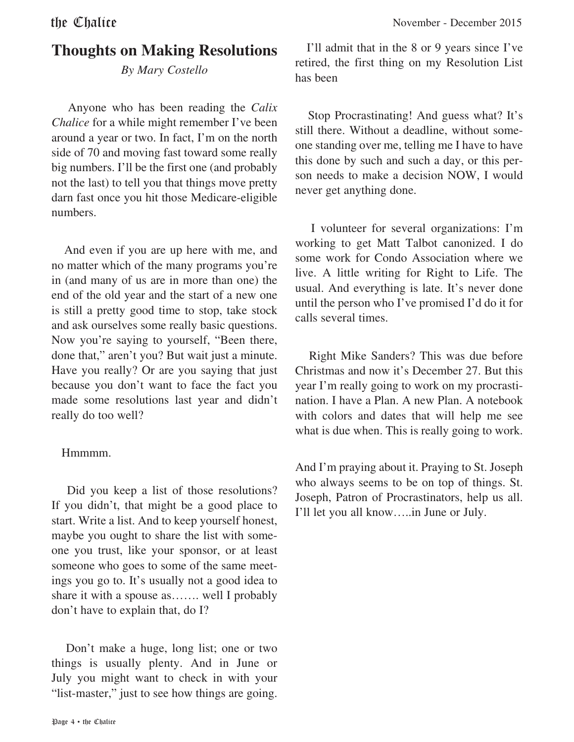# **Thoughts on Making Resolutions**

*By Mary Costello*

 Anyone who has been reading the *Calix Chalice* for a while might remember I've been around a year or two. In fact, I'm on the north side of 70 and moving fast toward some really big numbers. I'll be the first one (and probably not the last) to tell you that things move pretty darn fast once you hit those Medicare-eligible numbers.

 And even if you are up here with me, and no matter which of the many programs you're in (and many of us are in more than one) the end of the old year and the start of a new one is still a pretty good time to stop, take stock and ask ourselves some really basic questions. Now you're saying to yourself, "Been there, done that," aren't you? But wait just a minute. Have you really? Or are you saying that just because you don't want to face the fact you made some resolutions last year and didn't really do too well?

#### Hmmmm.

 Did you keep a list of those resolutions? If you didn't, that might be a good place to start. Write a list. And to keep yourself honest, maybe you ought to share the list with someone you trust, like your sponsor, or at least someone who goes to some of the same meetings you go to. It's usually not a good idea to share it with a spouse as……. well I probably don't have to explain that, do I?

 Don't make a huge, long list; one or two things is usually plenty. And in June or July you might want to check in with your "list-master," just to see how things are going.

 I'll admit that in the 8 or 9 years since I've retired, the first thing on my Resolution List has been

 Stop Procrastinating! And guess what? It's still there. Without a deadline, without someone standing over me, telling me I have to have this done by such and such a day, or this person needs to make a decision NOW, I would never get anything done.

 I volunteer for several organizations: I'm working to get Matt Talbot canonized. I do some work for Condo Association where we live. A little writing for Right to Life. The usual. And everything is late. It's never done until the person who I've promised I'd do it for calls several times.

 Right Mike Sanders? This was due before Christmas and now it's December 27. But this year I'm really going to work on my procrastination. I have a Plan. A new Plan. A notebook with colors and dates that will help me see what is due when. This is really going to work.

And I'm praying about it. Praying to St. Joseph who always seems to be on top of things. St. Joseph, Patron of Procrastinators, help us all. I'll let you all know…..in June or July.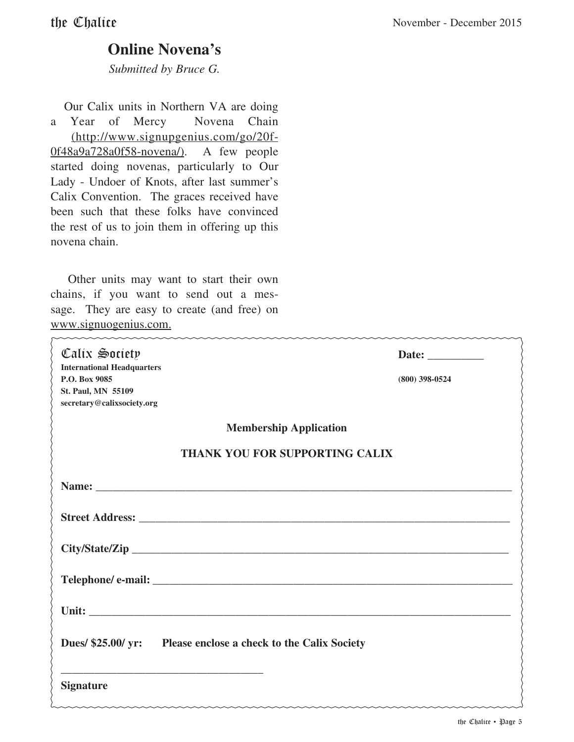### **Online Novena's**

*Submitted by Bruce G.*

 Our Calix units in Northern VA are doing a Year of Mercy Novena Chain (http://www.signupgenius.com/go/20f-0f48a9a728a0f58-novena/). A few people started doing novenas, particularly to Our Lady - Undoer of Knots, after last summer's Calix Convention. The graces received have been such that these folks have convinced the rest of us to join them in offering up this novena chain.

 Other units may want to start their own chains, if you want to send out a message. They are easy to create (and free) on www.signuogenius.com.

| Calix Society<br><b>International Headquarters</b><br>P.O. Box 9085<br>St. Paul, MN 55109<br>secretary@calixsociety.org | Date: $\_\_$<br>$(800)$ 398-0524 |  |
|-------------------------------------------------------------------------------------------------------------------------|----------------------------------|--|
| <b>Membership Application</b>                                                                                           |                                  |  |
| THANK YOU FOR SUPPORTING CALIX                                                                                          |                                  |  |
|                                                                                                                         |                                  |  |
|                                                                                                                         |                                  |  |
|                                                                                                                         |                                  |  |
|                                                                                                                         |                                  |  |
|                                                                                                                         |                                  |  |
| Dues/ \$25.00/ yr: Please enclose a check to the Calix Society                                                          |                                  |  |
| <b>Signature</b>                                                                                                        |                                  |  |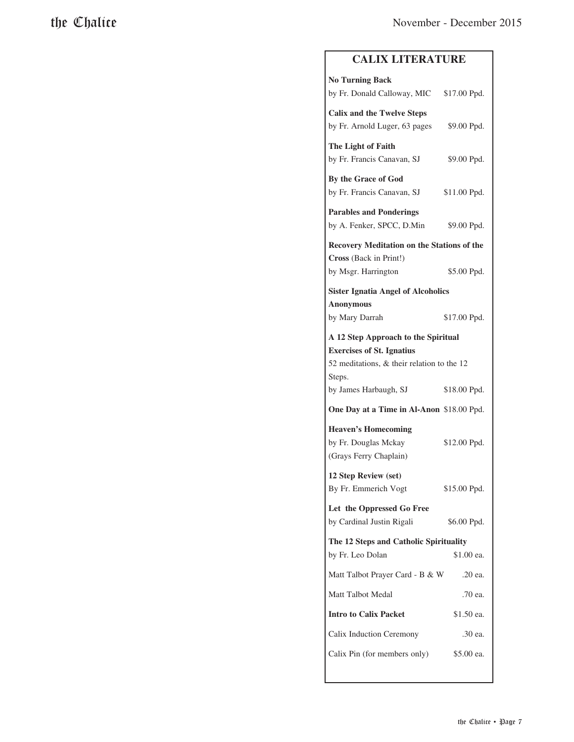#### **CALIX LITERATURE**

| <b>No Turning Back</b>                     |              |  |
|--------------------------------------------|--------------|--|
| by Fr. Donald Calloway, MIC                | \$17.00 Ppd. |  |
| <b>Calix and the Twelve Steps</b>          |              |  |
| by Fr. Arnold Luger, 63 pages              | \$9.00 Ppd.  |  |
| The Light of Faith                         |              |  |
| by Fr. Francis Canavan, SJ                 | \$9.00 Ppd.  |  |
| By the Grace of God                        |              |  |
| by Fr. Francis Canavan, SJ                 | \$11.00 Ppd. |  |
| <b>Parables and Ponderings</b>             |              |  |
| by A. Fenker, SPCC, D.Min                  | \$9.00 Ppd.  |  |
| Recovery Meditation on the Stations of the |              |  |
| Cross (Back in Print!)                     |              |  |
| by Msgr. Harrington                        | \$5.00 Ppd.  |  |
| <b>Sister Ignatia Angel of Alcoholics</b>  |              |  |
| <b>Anonymous</b>                           |              |  |
| by Mary Darrah                             | \$17.00 Ppd. |  |
| A 12 Step Approach to the Spiritual        |              |  |
| <b>Exercises of St. Ignatius</b>           |              |  |
| 52 meditations, & their relation to the 12 |              |  |
| Steps.                                     |              |  |
| by James Harbaugh, SJ                      | \$18.00 Ppd. |  |
| One Day at a Time in Al-Anon \$18.00 Ppd.  |              |  |
| <b>Heaven's Homecoming</b>                 |              |  |
| by Fr. Douglas Mckay                       | \$12.00 Ppd. |  |
| (Grays Ferry Chaplain)                     |              |  |
| 12 Step Review (set)                       |              |  |
| By Fr. Emmerich Vogt                       | \$15.00 Ppd. |  |
| Let the Oppressed Go Free                  |              |  |
| by Cardinal Justin Rigali                  | \$6.00 Ppd.  |  |
| The 12 Steps and Catholic Spirituality     |              |  |
| by Fr. Leo Dolan                           | \$1.00 ea.   |  |
| Matt Talbot Prayer Card - B & W            | .20 ea.      |  |
| <b>Matt Talbot Medal</b>                   | .70 ea.      |  |
| <b>Intro to Calix Packet</b>               | \$1.50 ea.   |  |
| Calix Induction Ceremony                   | .30 ea.      |  |
| Calix Pin (for members only)               | \$5.00 ea.   |  |
|                                            |              |  |